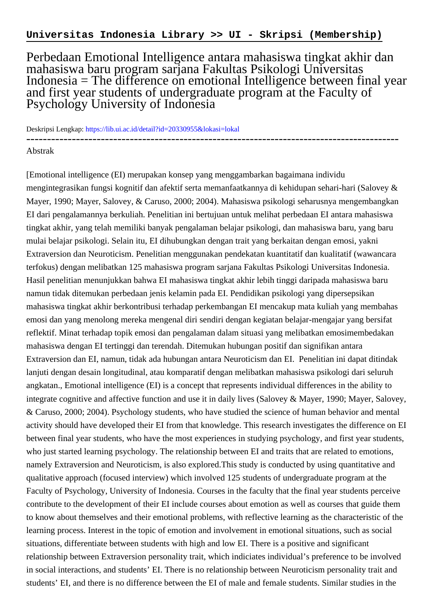Perbedaan Emotional Intelligence antara mahasiswa tingkat akhir dan mahasiswa baru program sarjana Fakultas Psikologi Universitas Indonesia = The difference on emotional Intelligence between final year and first year students of undergraduate program at the Faculty of Psychology University of Indonesia

Deskripsi Lengkap:<https://lib.ui.ac.id/detail?id=20330955&lokasi=lokal> ------------------------------------------------------------------------------------------

## Abstrak

[Emotional intelligence (EI) merupakan konsep yang menggambarkan bagaimana individu mengintegrasikan fungsi kognitif dan afektif serta memanfaatkannya di kehidupan sehari-hari (Salovey & Mayer, 1990; Mayer, Salovey, & Caruso, 2000; 2004). Mahasiswa psikologi seharusnya mengembangkan EI dari pengalamannya berkuliah. Penelitian ini bertujuan untuk melihat perbedaan EI antara mahasiswa tingkat akhir, yang telah memiliki banyak pengalaman belajar psikologi, dan mahasiswa baru, yang baru mulai belajar psikologi. Selain itu, EI dihubungkan dengan trait yang berkaitan dengan emosi, yakni Extraversion dan Neuroticism. Penelitian menggunakan pendekatan kuantitatif dan kualitatif (wawancara terfokus) dengan melibatkan 125 mahasiswa program sarjana Fakultas Psikologi Universitas Indonesia. Hasil penelitian menunjukkan bahwa EI mahasiswa tingkat akhir lebih tinggi daripada mahasiswa baru namun tidak ditemukan perbedaan jenis kelamin pada EI. Pendidikan psikologi yang dipersepsikan mahasiswa tingkat akhir berkontribusi terhadap perkembangan EI mencakup mata kuliah yang membahas emosi dan yang menolong mereka mengenal diri sendiri dengan kegiatan belajar-mengajar yang bersifat reflektif. Minat terhadap topik emosi dan pengalaman dalam situasi yang melibatkan emosimembedakan mahasiswa dengan EI tertinggi dan terendah. Ditemukan hubungan positif dan signifikan antara Extraversion dan EI, namun, tidak ada hubungan antara Neuroticism dan EI. Penelitian ini dapat ditindak lanjuti dengan desain longitudinal, atau komparatif dengan melibatkan mahasiswa psikologi dari seluruh angkatan., Emotional intelligence (EI) is a concept that represents individual differences in the ability to integrate cognitive and affective function and use it in daily lives (Salovey & Mayer, 1990; Mayer, Salovey, & Caruso, 2000; 2004). Psychology students, who have studied the science of human behavior and mental activity should have developed their EI from that knowledge. This research investigates the difference on EI between final year students, who have the most experiences in studying psychology, and first year students, who just started learning psychology. The relationship between EI and traits that are related to emotions, namely Extraversion and Neuroticism, is also explored.This study is conducted by using quantitative and qualitative approach (focused interview) which involved 125 students of undergraduate program at the Faculty of Psychology, University of Indonesia. Courses in the faculty that the final year students perceive contribute to the development of their EI include courses about emotion as well as courses that guide them to know about themselves and their emotional problems, with reflective learning as the characteristic of the learning process. Interest in the topic of emotion and involvement in emotional situations, such as social situations, differentiate between students with high and low EI. There is a positive and significant relationship between Extraversion personality trait, which indiciates individual's preference to be involved in social interactions, and students' EI. There is no relationship between Neuroticism personality trait and students' EI, and there is no difference between the EI of male and female students. Similar studies in the